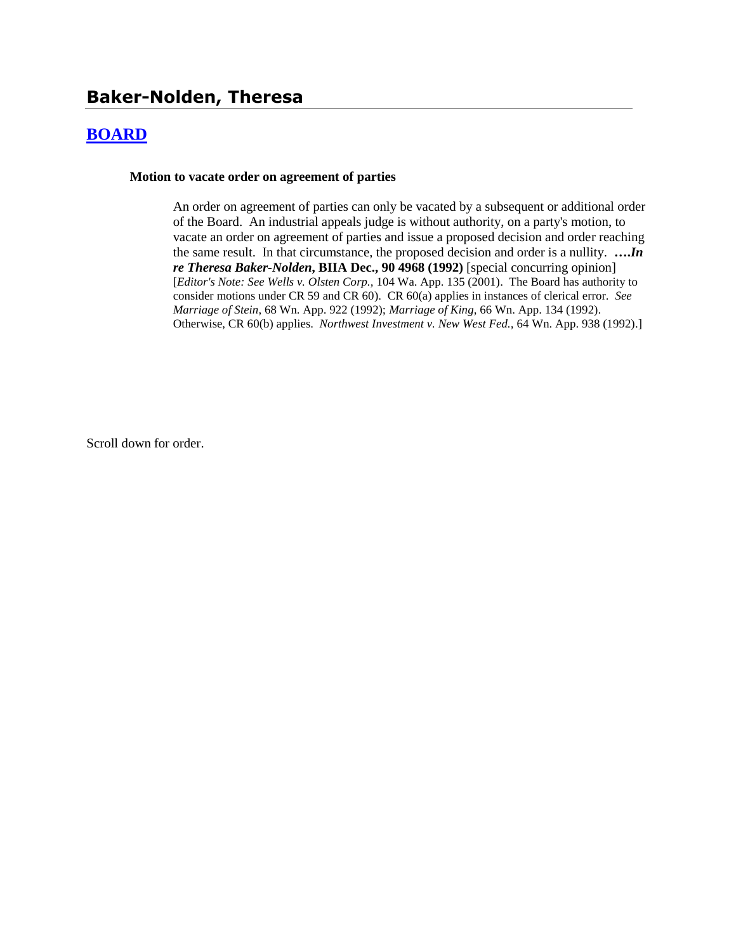# **Baker-Nolden, Theresa**

#### **[BOARD](http://www.biia.wa.gov/SDSubjectIndex.html#BOARD)**

#### **Motion to vacate order on agreement of parties**

An order on agreement of parties can only be vacated by a subsequent or additional order of the Board. An industrial appeals judge is without authority, on a party's motion, to vacate an order on agreement of parties and issue a proposed decision and order reaching the same result. In that circumstance, the proposed decision and order is a nullity. **….***In re Theresa Baker-Nolden***, BIIA Dec., 90 4968 (1992)** [special concurring opinion] [*Editor's Note: See Wells v. Olsten Corp.,* 104 Wa. App. 135 (2001). The Board has authority to consider motions under CR 59 and CR 60). CR 60(a) applies in instances of clerical error. *See Marriage of Stein*, 68 Wn. App. 922 (1992); *Marriage of King*, 66 Wn. App. 134 (1992). Otherwise, CR 60(b) applies. *Northwest Investment v. New West Fed.,* 64 Wn. App. 938 (1992).]

Scroll down for order.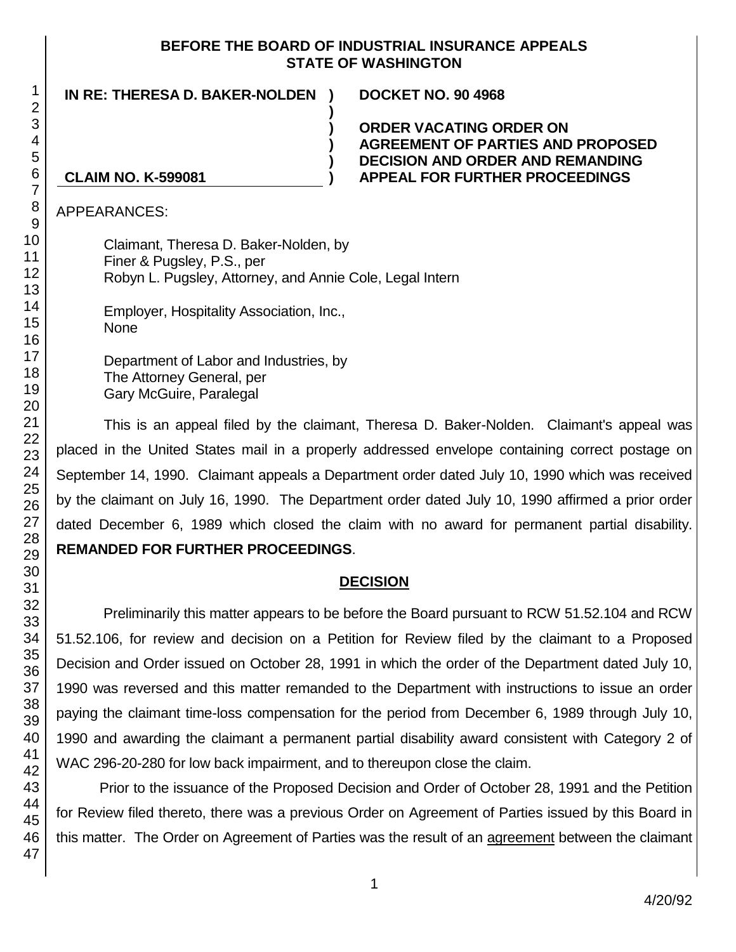#### **BEFORE THE BOARD OF INDUSTRIAL INSURANCE APPEALS STATE OF WASHINGTON**

**)**

**) ) )**

**IN RE: THERESA D. BAKER-NOLDEN ) DOCKET NO. 90 4968**

**) ORDER VACATING ORDER ON AGREEMENT OF PARTIES AND PROPOSED DECISION AND ORDER AND REMANDING APPEAL FOR FURTHER PROCEEDINGS**

#### **CLAIM NO. K-599081**

APPEARANCES:

Claimant, Theresa D. Baker-Nolden, by Finer & Pugsley, P.S., per Robyn L. Pugsley, Attorney, and Annie Cole, Legal Intern

Employer, Hospitality Association, Inc., None

Department of Labor and Industries, by The Attorney General, per Gary McGuire, Paralegal

This is an appeal filed by the claimant, Theresa D. Baker-Nolden. Claimant's appeal was placed in the United States mail in a properly addressed envelope containing correct postage on September 14, 1990. Claimant appeals a Department order dated July 10, 1990 which was received by the claimant on July 16, 1990. The Department order dated July 10, 1990 affirmed a prior order dated December 6, 1989 which closed the claim with no award for permanent partial disability. **REMANDED FOR FURTHER PROCEEDINGS**.

### **DECISION**

Preliminarily this matter appears to be before the Board pursuant to RCW 51.52.104 and RCW 51.52.106, for review and decision on a Petition for Review filed by the claimant to a Proposed Decision and Order issued on October 28, 1991 in which the order of the Department dated July 10, 1990 was reversed and this matter remanded to the Department with instructions to issue an order paying the claimant time-loss compensation for the period from December 6, 1989 through July 10, 1990 and awarding the claimant a permanent partial disability award consistent with Category 2 of WAC 296-20-280 for low back impairment, and to thereupon close the claim.

Prior to the issuance of the Proposed Decision and Order of October 28, 1991 and the Petition for Review filed thereto, there was a previous Order on Agreement of Parties issued by this Board in this matter. The Order on Agreement of Parties was the result of an agreement between the claimant

1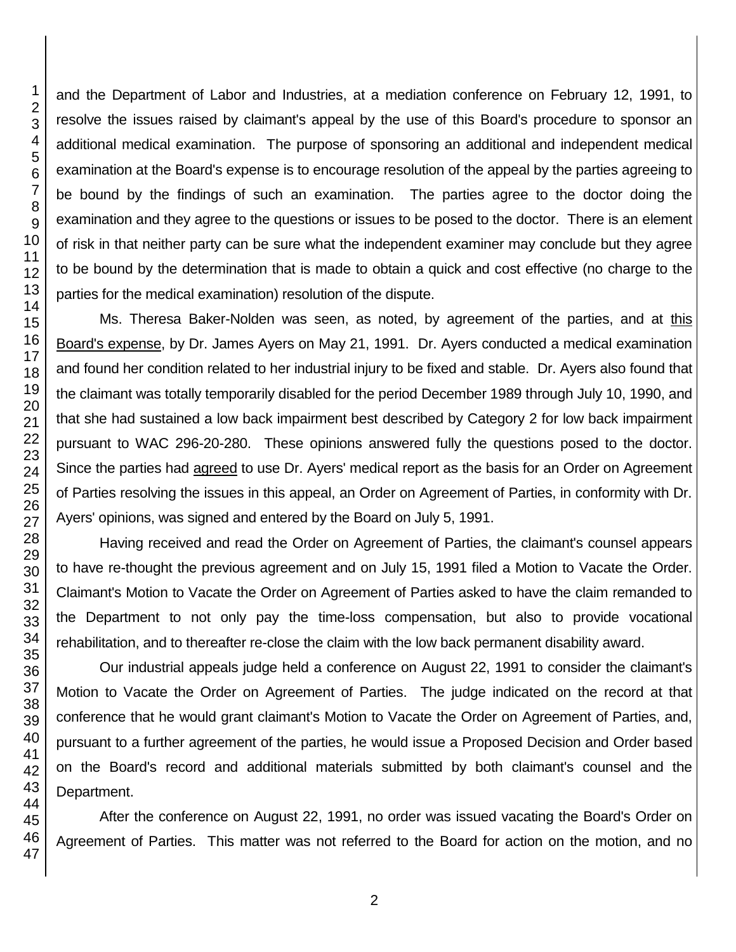and the Department of Labor and Industries, at a mediation conference on February 12, 1991, to resolve the issues raised by claimant's appeal by the use of this Board's procedure to sponsor an additional medical examination. The purpose of sponsoring an additional and independent medical examination at the Board's expense is to encourage resolution of the appeal by the parties agreeing to be bound by the findings of such an examination. The parties agree to the doctor doing the examination and they agree to the questions or issues to be posed to the doctor. There is an element of risk in that neither party can be sure what the independent examiner may conclude but they agree to be bound by the determination that is made to obtain a quick and cost effective (no charge to the parties for the medical examination) resolution of the dispute.

Ms. Theresa Baker-Nolden was seen, as noted, by agreement of the parties, and at this Board's expense, by Dr. James Ayers on May 21, 1991. Dr. Ayers conducted a medical examination and found her condition related to her industrial injury to be fixed and stable. Dr. Ayers also found that the claimant was totally temporarily disabled for the period December 1989 through July 10, 1990, and that she had sustained a low back impairment best described by Category 2 for low back impairment pursuant to WAC 296-20-280. These opinions answered fully the questions posed to the doctor. Since the parties had agreed to use Dr. Ayers' medical report as the basis for an Order on Agreement of Parties resolving the issues in this appeal, an Order on Agreement of Parties, in conformity with Dr. Ayers' opinions, was signed and entered by the Board on July 5, 1991.

Having received and read the Order on Agreement of Parties, the claimant's counsel appears to have re-thought the previous agreement and on July 15, 1991 filed a Motion to Vacate the Order. Claimant's Motion to Vacate the Order on Agreement of Parties asked to have the claim remanded to the Department to not only pay the time-loss compensation, but also to provide vocational rehabilitation, and to thereafter re-close the claim with the low back permanent disability award.

Our industrial appeals judge held a conference on August 22, 1991 to consider the claimant's Motion to Vacate the Order on Agreement of Parties. The judge indicated on the record at that conference that he would grant claimant's Motion to Vacate the Order on Agreement of Parties, and, pursuant to a further agreement of the parties, he would issue a Proposed Decision and Order based on the Board's record and additional materials submitted by both claimant's counsel and the Department.

After the conference on August 22, 1991, no order was issued vacating the Board's Order on Agreement of Parties. This matter was not referred to the Board for action on the motion, and no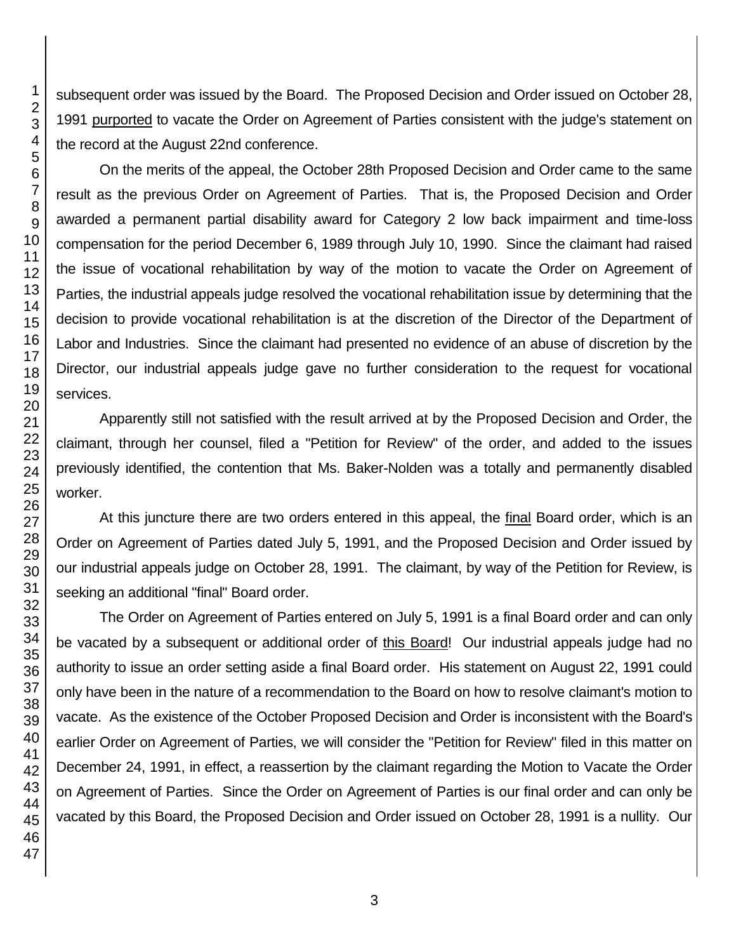subsequent order was issued by the Board. The Proposed Decision and Order issued on October 28, 1991 purported to vacate the Order on Agreement of Parties consistent with the judge's statement on the record at the August 22nd conference.

On the merits of the appeal, the October 28th Proposed Decision and Order came to the same result as the previous Order on Agreement of Parties. That is, the Proposed Decision and Order awarded a permanent partial disability award for Category 2 low back impairment and time-loss compensation for the period December 6, 1989 through July 10, 1990. Since the claimant had raised the issue of vocational rehabilitation by way of the motion to vacate the Order on Agreement of Parties, the industrial appeals judge resolved the vocational rehabilitation issue by determining that the decision to provide vocational rehabilitation is at the discretion of the Director of the Department of Labor and Industries. Since the claimant had presented no evidence of an abuse of discretion by the Director, our industrial appeals judge gave no further consideration to the request for vocational services.

Apparently still not satisfied with the result arrived at by the Proposed Decision and Order, the claimant, through her counsel, filed a "Petition for Review" of the order, and added to the issues previously identified, the contention that Ms. Baker-Nolden was a totally and permanently disabled worker.

At this juncture there are two orders entered in this appeal, the final Board order, which is an Order on Agreement of Parties dated July 5, 1991, and the Proposed Decision and Order issued by our industrial appeals judge on October 28, 1991. The claimant, by way of the Petition for Review, is seeking an additional "final" Board order.

The Order on Agreement of Parties entered on July 5, 1991 is a final Board order and can only be vacated by a subsequent or additional order of this Board! Our industrial appeals judge had no authority to issue an order setting aside a final Board order. His statement on August 22, 1991 could only have been in the nature of a recommendation to the Board on how to resolve claimant's motion to vacate. As the existence of the October Proposed Decision and Order is inconsistent with the Board's earlier Order on Agreement of Parties, we will consider the "Petition for Review" filed in this matter on December 24, 1991, in effect, a reassertion by the claimant regarding the Motion to Vacate the Order on Agreement of Parties. Since the Order on Agreement of Parties is our final order and can only be vacated by this Board, the Proposed Decision and Order issued on October 28, 1991 is a nullity. Our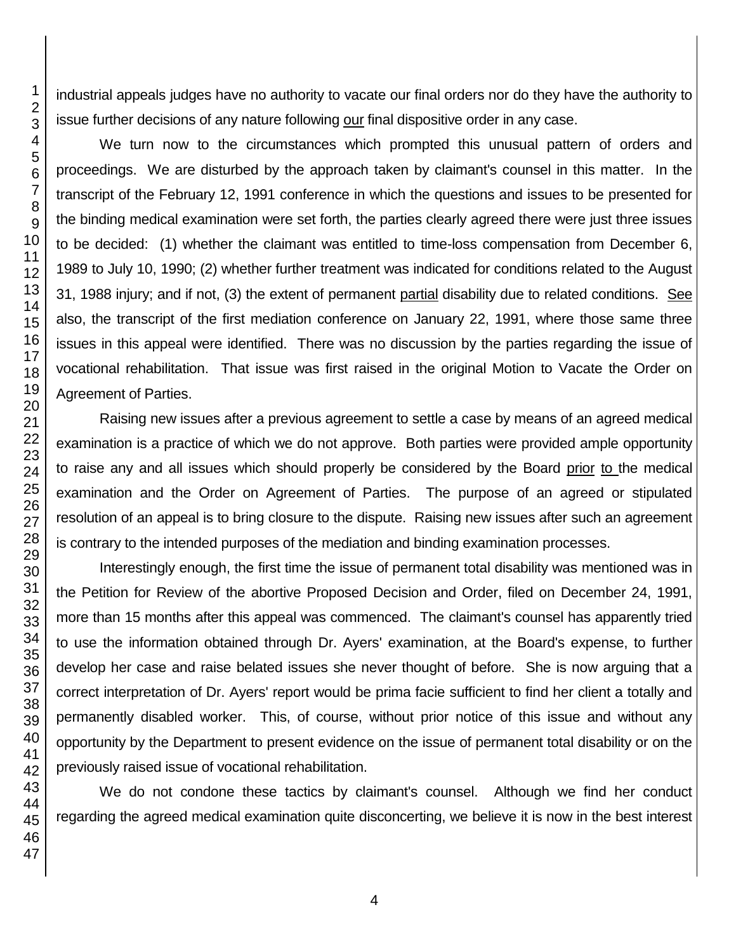industrial appeals judges have no authority to vacate our final orders nor do they have the authority to issue further decisions of any nature following our final dispositive order in any case.

We turn now to the circumstances which prompted this unusual pattern of orders and proceedings. We are disturbed by the approach taken by claimant's counsel in this matter. In the transcript of the February 12, 1991 conference in which the questions and issues to be presented for the binding medical examination were set forth, the parties clearly agreed there were just three issues to be decided: (1) whether the claimant was entitled to time-loss compensation from December 6, 1989 to July 10, 1990; (2) whether further treatment was indicated for conditions related to the August 31, 1988 injury; and if not, (3) the extent of permanent partial disability due to related conditions. See also, the transcript of the first mediation conference on January 22, 1991, where those same three issues in this appeal were identified. There was no discussion by the parties regarding the issue of vocational rehabilitation. That issue was first raised in the original Motion to Vacate the Order on Agreement of Parties.

Raising new issues after a previous agreement to settle a case by means of an agreed medical examination is a practice of which we do not approve. Both parties were provided ample opportunity to raise any and all issues which should properly be considered by the Board prior to the medical examination and the Order on Agreement of Parties. The purpose of an agreed or stipulated resolution of an appeal is to bring closure to the dispute. Raising new issues after such an agreement is contrary to the intended purposes of the mediation and binding examination processes.

Interestingly enough, the first time the issue of permanent total disability was mentioned was in the Petition for Review of the abortive Proposed Decision and Order, filed on December 24, 1991, more than 15 months after this appeal was commenced. The claimant's counsel has apparently tried to use the information obtained through Dr. Ayers' examination, at the Board's expense, to further develop her case and raise belated issues she never thought of before. She is now arguing that a correct interpretation of Dr. Ayers' report would be prima facie sufficient to find her client a totally and permanently disabled worker. This, of course, without prior notice of this issue and without any opportunity by the Department to present evidence on the issue of permanent total disability or on the previously raised issue of vocational rehabilitation.

We do not condone these tactics by claimant's counsel. Although we find her conduct regarding the agreed medical examination quite disconcerting, we believe it is now in the best interest